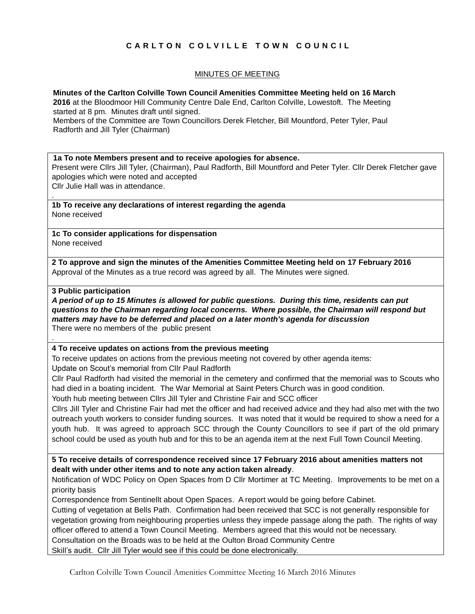# **C A R L T O N C O L V I L L E T O W N C O U N C I L**

# MINUTES OF MEETING

**Minutes of the Carlton Colville Town Council Amenities Committee Meeting held on 16 March**

**2016** at the Bloodmoor Hill Community Centre Dale End, Carlton Colville, Lowestoft. The Meeting started at 8 pm. Minutes draft until signed.

Members of the Committee are Town Councillors Derek Fletcher, Bill Mountford, Peter Tyler, Paul Radforth and Jill Tyler (Chairman)

#### **1a To note Members present and to receive apologies for absence.**

Present were Cllrs Jill Tyler, (Chairman), Paul Radforth, Bill Mountford and Peter Tyler. Cllr Derek Fletcher gave apologies which were noted and accepted

Cllr Julie Hall was in attendance.

**1b To receive any declarations of interest regarding the agenda** None received

**1c To consider applications for dispensation** None received

**2 To approve and sign the minutes of the Amenities Committee Meeting held on 17 February 2016** Approval of the Minutes as a true record was agreed by all. The Minutes were signed.

### **3 Public participation**

.

.

*A period of up to 15 Minutes is allowed for public questions. During this time, residents can put questions to the Chairman regarding local concerns. Where possible, the Chairman will respond but matters may have to be deferred and placed on a later month's agenda for discussion* There were no members of the public present

## **4 To receive updates on actions from the previous meeting**

To receive updates on actions from the previous meeting not covered by other agenda items: Update on Scout's memorial from Cllr Paul Radforth

Cllr Paul Radforth had visited the memorial in the cemetery and confirmed that the memorial was to Scouts who had died in a boating incident. The War Memorial at Saint Peters Church was in good condition.

Youth hub meeting between Cllrs Jill Tyler and Christine Fair and SCC officer

Cllrs Jill Tyler and Christine Fair had met the officer and had received advice and they had also met with the two outreach youth workers to consider funding sources. It was noted that it would be required to show a need for a youth hub. It was agreed to approach SCC through the County Councillors to see if part of the old primary school could be used as youth hub and for this to be an agenda item at the next Full Town Council Meeting.

**5 To receive details of correspondence received since 17 February 2016 about amenities matters not dealt with under other items and to note any action taken already**.

Notification of WDC Policy on Open Spaces from D Cllr Mortimer at TC Meeting. Improvements to be met on a priority basis

Correspondence from Sentinellt about Open Spaces. A report would be going before Cabinet.

Cutting of vegetation at Bells Path. Confirmation had been received that SCC is not generally responsible for vegetation growing from neighbouring properties unless they impede passage along the path. The rights of way officer offered to attend a Town Council Meeting. Members agreed that this would not be necessary. Consultation on the Broads was to be held at the Oulton Broad Community Centre Skill's audit. Cllr Jill Tyler would see if this could be done electronically.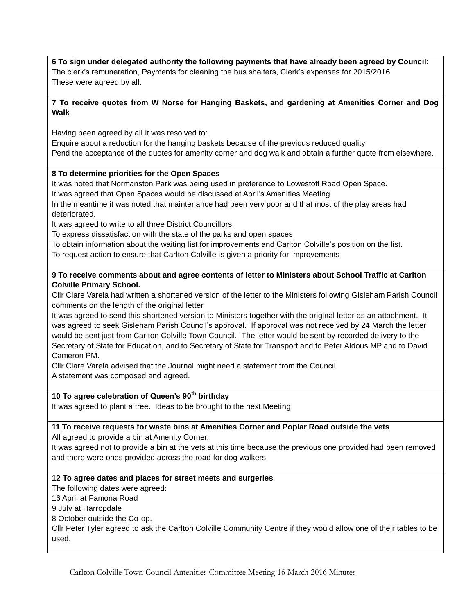**6 To sign under delegated authority the following payments that have already been agreed by Council**: The clerk's remuneration, Payments for cleaning the bus shelters, Clerk's expenses for 2015/2016 These were agreed by all.

## **7 To receive quotes from W Norse for Hanging Baskets, and gardening at Amenities Corner and Dog Walk**

Having been agreed by all it was resolved to:

Enquire about a reduction for the hanging baskets because of the previous reduced quality Pend the acceptance of the quotes for amenity corner and dog walk and obtain a further quote from elsewhere.

### **8 To determine priorities for the Open Spaces**

It was noted that Normanston Park was being used in preference to Lowestoft Road Open Space.

It was agreed that Open Spaces would be discussed at April's Amenities Meeting

In the meantime it was noted that maintenance had been very poor and that most of the play areas had deteriorated.

It was agreed to write to all three District Councillors:

To express dissatisfaction with the state of the parks and open spaces

To obtain information about the waiting list for improvements and Carlton Colville's position on the list.

To request action to ensure that Carlton Colville is given a priority for improvements

# **9 To receive comments about and agree contents of letter to Ministers about School Traffic at Carlton Colville Primary School.**

Cllr Clare Varela had written a shortened version of the letter to the Ministers following Gisleham Parish Council comments on the length of the original letter.

It was agreed to send this shortened version to Ministers together with the original letter as an attachment. It was agreed to seek Gisleham Parish Council's approval. If approval was not received by 24 March the letter would be sent just from Carlton Colville Town Council. The letter would be sent by recorded delivery to the Secretary of State for Education, and to Secretary of State for Transport and to Peter Aldous MP and to David Cameron PM.

Cllr Clare Varela advised that the Journal might need a statement from the Council. A statement was composed and agreed.

# **10 To agree celebration of Queen's 90th birthday**

It was agreed to plant a tree. Ideas to be brought to the next Meeting

## **11 To receive requests for waste bins at Amenities Corner and Poplar Road outside the vets**

All agreed to provide a bin at Amenity Corner.

It was agreed not to provide a bin at the vets at this time because the previous one provided had been removed and there were ones provided across the road for dog walkers.

## **12 To agree dates and places for street meets and surgeries**

The following dates were agreed:

16 April at Famona Road

9 July at Harropdale

8 October outside the Co-op.

Cllr Peter Tyler agreed to ask the Carlton Colville Community Centre if they would allow one of their tables to be used.